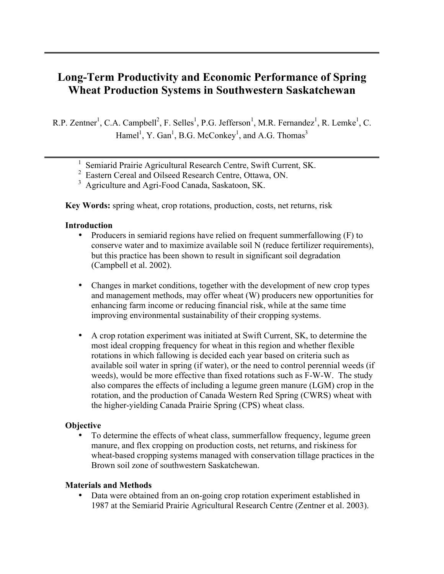# Long-Term Productivity and Economic Performance of Spring Wheat Production Systems in Southwestern Saskatchewan

R.P. Zentner<sup>1</sup>, C.A. Campbell<sup>2</sup>, F. Selles<sup>1</sup>, P.G. Jefferson<sup>1</sup>, M.R. Fernandez<sup>1</sup>, R. Lemke<sup>1</sup>, C. Hamel<sup>1</sup>, Y. Gan<sup>1</sup>, B.G. McConkey<sup>1</sup>, and A.G. Thomas<sup>3</sup>

- <sup>1</sup> Semiarid Prairie Agricultural Research Centre, Swift Current, SK.
- <sup>2</sup> Eastern Cereal and Oilseed Research Centre, Ottawa, ON.
- <sup>3</sup> Agriculture and Agri-Food Canada, Saskatoon, SK.

Key Words: spring wheat, crop rotations, production, costs, net returns, risk

#### Introduction

- Producers in semiarid regions have relied on frequent summerfallowing (F) to conserve water and to maximize available soil N (reduce fertilizer requirements), but this practice has been shown to result in significant soil degradation (Campbell et al. 2002).
- Changes in market conditions, together with the development of new crop types and management methods, may offer wheat (W) producers new opportunities for enhancing farm income or reducing financial risk, while at the same time improving environmental sustainability of their cropping systems.
- A crop rotation experiment was initiated at Swift Current, SK, to determine the most ideal cropping frequency for wheat in this region and whether flexible rotations in which fallowing is decided each year based on criteria such as available soil water in spring (if water), or the need to control perennial weeds (if weeds), would be more effective than fixed rotations such as F-W-W. The study also compares the effects of including a legume green manure (LGM) crop in the rotation, and the production of Canada Western Red Spring (CWRS) wheat with the higher-yielding Canada Prairie Spring (CPS) wheat class.

## **Objective**

• To determine the effects of wheat class, summerfallow frequency, legume green manure, and flex cropping on production costs, net returns, and riskiness for wheat-based cropping systems managed with conservation tillage practices in the Brown soil zone of southwestern Saskatchewan.

#### Materials and Methods

• Data were obtained from an on-going crop rotation experiment established in 1987 at the Semiarid Prairie Agricultural Research Centre (Zentner et al. 2003).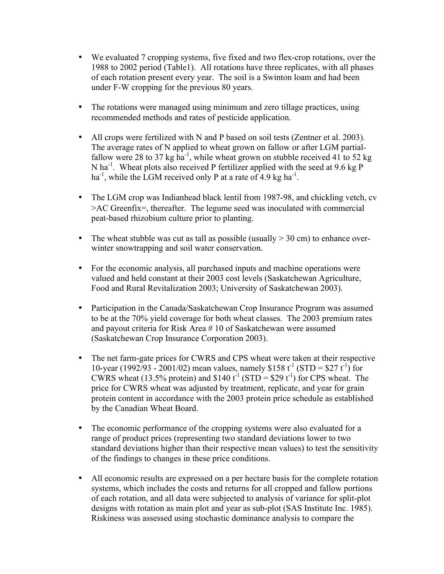- We evaluated 7 cropping systems, five fixed and two flex-crop rotations, over the 1988 to 2002 period (Table1). All rotations have three replicates, with all phases of each rotation present every year. The soil is a Swinton loam and had been under F-W cropping for the previous 80 years.
- The rotations were managed using minimum and zero tillage practices, using recommended methods and rates of pesticide application.
- All crops were fertilized with N and P based on soil tests (Zentner et al. 2003). The average rates of N applied to wheat grown on fallow or after LGM partialfallow were 28 to 37 kg ha<sup>-1</sup>, while wheat grown on stubble received 41 to 52 kg N ha<sup>-1</sup>. Wheat plots also received P fertilizer applied with the seed at 9.6 kg P ha<sup>-1</sup>, while the LGM received only P at a rate of 4.9 kg ha<sup>-1</sup>.
- The LGM crop was Indianhead black lentil from 1987-98, and chickling vetch, cv >AC Greenfix=, thereafter. The legume seed was inoculated with commercial peat-based rhizobium culture prior to planting.
- The wheat stubble was cut as tall as possible (usually  $>$  30 cm) to enhance overwinter snowtrapping and soil water conservation.
- For the economic analysis, all purchased inputs and machine operations were valued and held constant at their 2003 cost levels (Saskatchewan Agriculture, Food and Rural Revitalization 2003; University of Saskatchewan 2003).
- Participation in the Canada/Saskatchewan Crop Insurance Program was assumed to be at the 70% yield coverage for both wheat classes. The 2003 premium rates and payout criteria for Risk Area # 10 of Saskatchewan were assumed (Saskatchewan Crop Insurance Corporation 2003).
- The net farm-gate prices for CWRS and CPS wheat were taken at their respective 10-year (1992/93 - 2001/02) mean values, namely \$158  $t^{-1}$  (STD = \$27  $t^{-1}$ ) for CWRS wheat (13.5% protein) and \$140  $t^{-1}$  (STD = \$29  $t^{-1}$ ) for CPS wheat. The price for CWRS wheat was adjusted by treatment, replicate, and year for grain protein content in accordance with the 2003 protein price schedule as established by the Canadian Wheat Board.
- The economic performance of the cropping systems were also evaluated for a range of product prices (representing two standard deviations lower to two standard deviations higher than their respective mean values) to test the sensitivity of the findings to changes in these price conditions.
- All economic results are expressed on a per hectare basis for the complete rotation systems, which includes the costs and returns for all cropped and fallow portions of each rotation, and all data were subjected to analysis of variance for split-plot designs with rotation as main plot and year as sub-plot (SAS Institute Inc. 1985). Riskiness was assessed using stochastic dominance analysis to compare the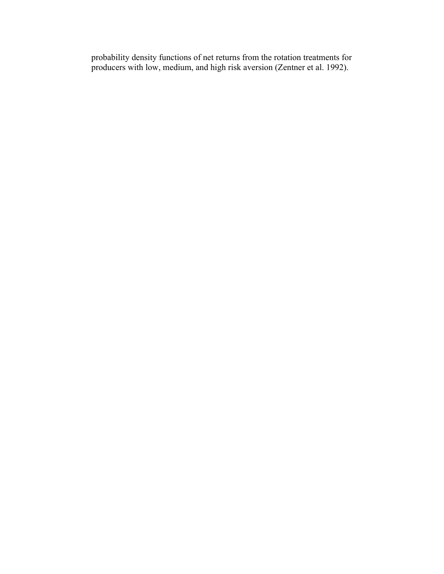probability density functions of net returns from the rotation treatments for producers with low, medium, and high risk aversion (Zentner et al. 1992).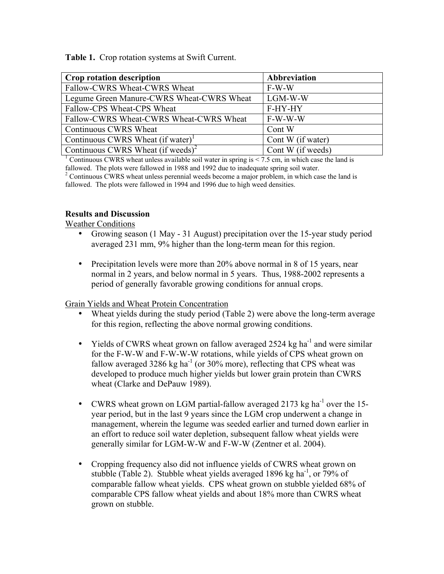Table 1. Crop rotation systems at Swift Current.

| <b>Crop rotation description</b>                                     | Abbreviation |
|----------------------------------------------------------------------|--------------|
| Fallow-CWRS Wheat-CWRS Wheat                                         | $F-W-W$      |
| Legume Green Manure-CWRS Wheat-CWRS Wheat                            | LGM-W-W      |
| Fallow-CPS Wheat-CPS Wheat                                           | F-HY-HY      |
| Fallow-CWRS Wheat-CWRS Wheat-CWRS Wheat                              | F-W-W-W      |
| Continuous CWRS Wheat                                                | Cont W       |
| Continuous CWRS Wheat (if water) <sup>1</sup><br>Cont W (if water)   |              |
| Continuous CWRS Wheat $(if$ weeds) <sup>2</sup><br>Cont W (if weeds) |              |

<sup>1</sup> Continuous CWRS wheat unless available soil water in spring is  $\leq$  7.5 cm, in which case the land is fallowed. The plots were fallowed in 1988 and 1992 due to inadequate spring soil water.

<sup>2</sup> Continuous CWRS wheat unless perennial weeds become a major problem, in which case the land is fallowed. The plots were fallowed in 1994 and 1996 due to high weed densities.

# Results and Discussion

Weather Conditions

- Growing season (1 May 31 August) precipitation over the 15-year study period averaged 231 mm, 9% higher than the long-term mean for this region.
- Precipitation levels were more than 20% above normal in 8 of 15 years, near normal in 2 years, and below normal in 5 years. Thus, 1988-2002 represents a period of generally favorable growing conditions for annual crops.

## Grain Yields and Wheat Protein Concentration

- Wheat yields during the study period (Table 2) were above the long-term average for this region, reflecting the above normal growing conditions.
- Yields of CWRS wheat grown on fallow averaged 2524 kg ha<sup>-1</sup> and were similar for the F-W-W and F-W-W-W rotations, while yields of CPS wheat grown on fallow averaged 3286 kg ha<sup>-1</sup> (or 30% more), reflecting that CPS wheat was developed to produce much higher yields but lower grain protein than CWRS wheat (Clarke and DePauw 1989).
- CWRS wheat grown on LGM partial-fallow averaged 2173 kg ha<sup>-1</sup> over the 15year period, but in the last 9 years since the LGM crop underwent a change in management, wherein the legume was seeded earlier and turned down earlier in an effort to reduce soil water depletion, subsequent fallow wheat yields were generally similar for LGM-W-W and F-W-W (Zentner et al. 2004).
- Cropping frequency also did not influence yields of CWRS wheat grown on stubble (Table 2). Stubble wheat yields averaged 1896 kg ha<sup>-1</sup>, or 79% of comparable fallow wheat yields. CPS wheat grown on stubble yielded 68% of comparable CPS fallow wheat yields and about 18% more than CWRS wheat grown on stubble.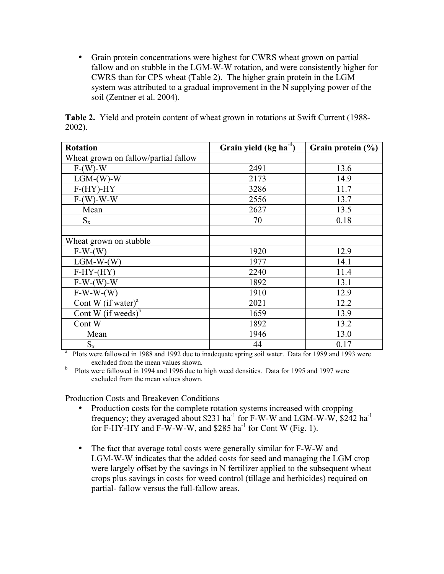• Grain protein concentrations were highest for CWRS wheat grown on partial fallow and on stubble in the LGM-W-W rotation, and were consistently higher for CWRS than for CPS wheat (Table 2). The higher grain protein in the LGM system was attributed to a gradual improvement in the N supplying power of the soil (Zentner et al. 2004).

| <b>Rotation</b>                                                                                       | Grain yield $(kg ha^{-1})$ | Grain protein (%) |  |
|-------------------------------------------------------------------------------------------------------|----------------------------|-------------------|--|
| Wheat grown on fallow/partial fallow                                                                  |                            |                   |  |
| $F-(W)-W$                                                                                             | 2491                       | 13.6              |  |
| $LGM-(W)-W$                                                                                           | 2173                       | 14.9              |  |
| $F-(HY)-HY$                                                                                           | 3286                       | 11.7              |  |
| $F-W-W-W-W$                                                                                           | 2556                       | 13.7              |  |
| Mean                                                                                                  | 2627                       | 13.5              |  |
| $S_{x}$                                                                                               | 70                         | 0.18              |  |
|                                                                                                       |                            |                   |  |
| Wheat grown on stubble                                                                                |                            |                   |  |
| $F-W-(W)$                                                                                             | 1920                       | 12.9              |  |
| $LGM-W-(W)$                                                                                           | 1977                       | 14.1              |  |
| $F-HY-(HY)$                                                                                           | 2240                       | 11.4              |  |
| $F-W-(W)-W$                                                                                           | 1892                       | 13.1              |  |
| $F-W-W-(W)$                                                                                           | 1910                       | 12.9              |  |
| Cont W $(if water)^a$                                                                                 | 2021                       | 12.2              |  |
| Cont W (if weeds) $\overline{b}$                                                                      | 1659                       | 13.9              |  |
| Cont W                                                                                                | 1892                       | 13.2              |  |
| Mean                                                                                                  | 1946                       | 13.0              |  |
| $S_{x}$                                                                                               | 44                         | 0.17              |  |
| Plots were fallowed in 1988 and 1992 due to inadequate spring soil water. Data for 1989 and 1993 were |                            |                   |  |

Table 2. Yield and protein content of wheat grown in rotations at Swift Current (1988- 2002).

excluded from the mean values shown.

b Plots were fallowed in 1994 and 1996 due to high weed densities. Data for 1995 and 1997 were excluded from the mean values shown.

# Production Costs and Breakeven Conditions

- Production costs for the complete rotation systems increased with cropping frequency; they averaged about \$231 ha<sup>-1</sup> for F-W-W and LGM-W-W,  $$242$  ha<sup>-1</sup> for F-HY-HY and F-W-W-W, and  $$285$  ha<sup>-1</sup> for Cont W (Fig. 1).
- The fact that average total costs were generally similar for F-W-W and LGM-W-W indicates that the added costs for seed and managing the LGM crop were largely offset by the savings in N fertilizer applied to the subsequent wheat crops plus savings in costs for weed control (tillage and herbicides) required on partial- fallow versus the full-fallow areas.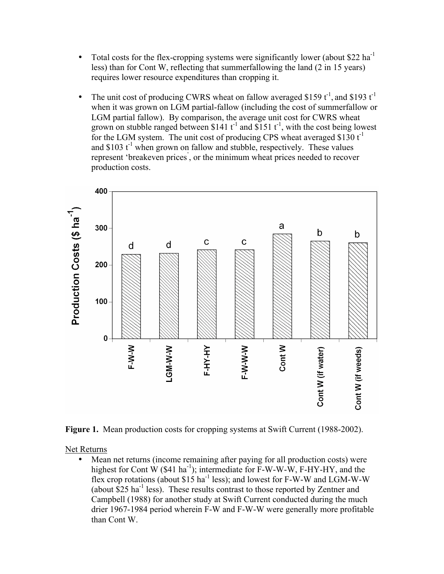- Total costs for the flex-cropping systems were significantly lower (about \$22 ha<sup>-1</sup>) less) than for Cont W, reflecting that summerfallowing the land (2 in 15 years) requires lower resource expenditures than cropping it.
- The unit cost of producing CWRS wheat on fallow averaged \$159  $t^{-1}$ , and \$193  $t^{-1}$ when it was grown on LGM partial-fallow (including the cost of summerfallow or LGM partial fallow). By comparison, the average unit cost for CWRS wheat grown on stubble ranged between \$141  $t^{-1}$  and \$151  $t^{-1}$ , with the cost being lowest for the LGM system. The unit cost of producing CPS wheat averaged \$130  $t^{-1}$ and  $\$103$  t<sup>-1</sup> when grown on fallow and stubble, respectively. These values represent 'breakeven prices' , or the minimum wheat prices needed to recover production costs.



Figure 1. Mean production costs for cropping systems at Swift Current (1988-2002).

Net Returns

• Mean net returns (income remaining after paying for all production costs) were highest for Cont W  $(\$41 \text{ ha}^{-1})$ ; intermediate for F-W-W-W, F-HY-HY, and the flex crop rotations (about  $$15 \text{ ha}^{-1}$  less); and lowest for F-W-W and LGM-W-W (about  $$25 \text{ ha}^{-1}$  less). These results contrast to those reported by Zentner and Campbell (1988) for another study at Swift Current conducted during the much drier 1967-1984 period wherein F-W and F-W-W were generally more profitable than Cont W.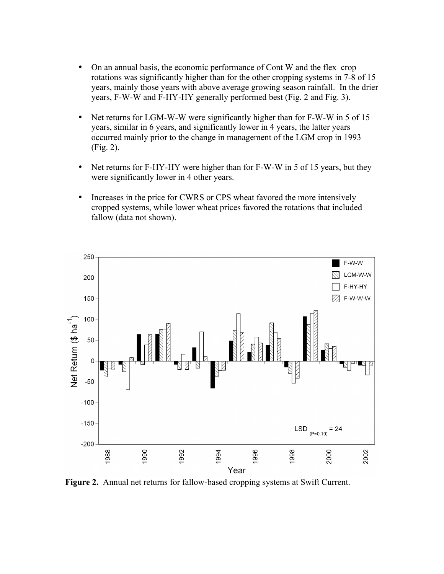- On an annual basis, the economic performance of Cont W and the flex–crop rotations was significantly higher than for the other cropping systems in 7-8 of 15 years, mainly those years with above average growing season rainfall. In the drier years, F-W-W and F-HY-HY generally performed best (Fig. 2 and Fig. 3).
- Net returns for LGM-W-W were significantly higher than for F-W-W in 5 of 15 years, similar in 6 years, and significantly lower in 4 years, the latter years occurred mainly prior to the change in management of the LGM crop in 1993 (Fig. 2).
- Net returns for F-HY-HY were higher than for F-W-W in 5 of 15 years, but they were significantly lower in 4 other years.
- Increases in the price for CWRS or CPS wheat favored the more intensively cropped systems, while lower wheat prices favored the rotations that included fallow (data not shown).



Figure 2. Annual net returns for fallow-based cropping systems at Swift Current.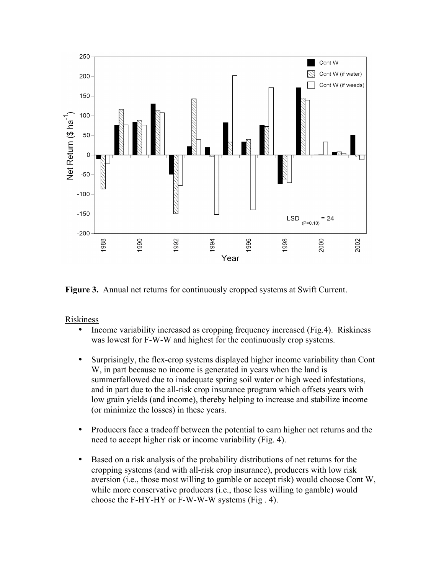

Figure 3. Annual net returns for continuously cropped systems at Swift Current.

Riskiness

- Income variability increased as cropping frequency increased (Fig.4). Riskiness was lowest for F-W-W and highest for the continuously crop systems.
- Surprisingly, the flex-crop systems displayed higher income variability than Cont W, in part because no income is generated in years when the land is summerfallowed due to inadequate spring soil water or high weed infestations, and in part due to the all-risk crop insurance program which offsets years with low grain yields (and income), thereby helping to increase and stabilize income (or minimize the losses) in these years.
- Producers face a tradeoff between the potential to earn higher net returns and the need to accept higher risk or income variability (Fig. 4).
- Based on a risk analysis of the probability distributions of net returns for the cropping systems (and with all-risk crop insurance), producers with low risk aversion (i.e., those most willing to gamble or accept risk) would choose Cont W, while more conservative producers (i.e., those less willing to gamble) would choose the F-HY-HY or F-W-W-W systems (Fig . 4).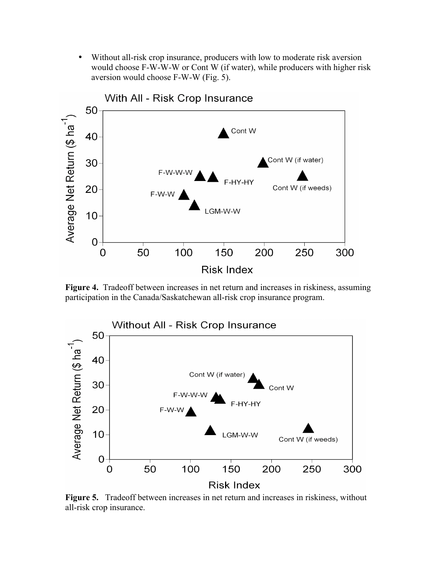• Without all-risk crop insurance, producers with low to moderate risk aversion would choose F-W-W-W or Cont W (if water), while producers with higher risk aversion would choose F-W-W (Fig. 5).



Figure 4. Tradeoff between increases in net return and increases in riskiness, assuming participation in the Canada/Saskatchewan all-risk crop insurance program.



Figure 5. Tradeoff between increases in net return and increases in riskiness, without all-risk crop insurance.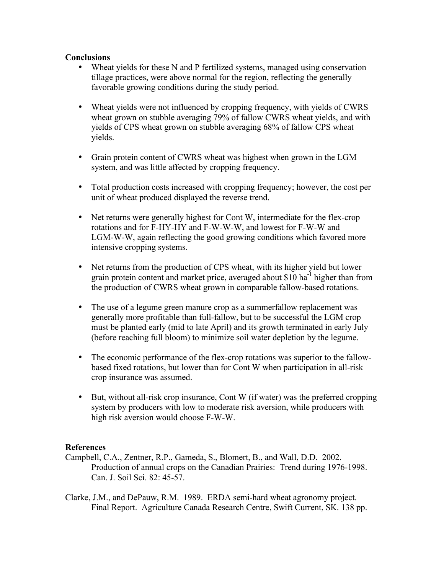## **Conclusions**

- Wheat yields for these N and P fertilized systems, managed using conservation tillage practices, were above normal for the region, reflecting the generally favorable growing conditions during the study period.
- Wheat yields were not influenced by cropping frequency, with yields of CWRS wheat grown on stubble averaging 79% of fallow CWRS wheat yields, and with yields of CPS wheat grown on stubble averaging 68% of fallow CPS wheat yields.
- Grain protein content of CWRS wheat was highest when grown in the LGM system, and was little affected by cropping frequency.
- Total production costs increased with cropping frequency; however, the cost per unit of wheat produced displayed the reverse trend.
- Net returns were generally highest for Cont W, intermediate for the flex-crop rotations and for F-HY-HY and F-W-W-W, and lowest for F-W-W and LGM-W-W, again reflecting the good growing conditions which favored more intensive cropping systems.
- Net returns from the production of CPS wheat, with its higher yield but lower grain protein content and market price, averaged about \$10 ha<sup>-1</sup> higher than from the production of CWRS wheat grown in comparable fallow-based rotations.
- The use of a legume green manure crop as a summerfallow replacement was generally more profitable than full-fallow, but to be successful the LGM crop must be planted early (mid to late April) and its growth terminated in early July (before reaching full bloom) to minimize soil water depletion by the legume.
- The economic performance of the flex-crop rotations was superior to the fallowbased fixed rotations, but lower than for Cont W when participation in all-risk crop insurance was assumed.
- But, without all-risk crop insurance, Cont W (if water) was the preferred cropping system by producers with low to moderate risk aversion, while producers with high risk aversion would choose F-W-W.

# References

- Campbell, C.A., Zentner, R.P., Gameda, S., Blomert, B., and Wall, D.D. 2002. Production of annual crops on the Canadian Prairies: Trend during 1976-1998. Can. J. Soil Sci. 82: 45-57.
- Clarke, J.M., and DePauw, R.M. 1989. ERDA semi-hard wheat agronomy project. Final Report. Agriculture Canada Research Centre, Swift Current, SK. 138 pp.